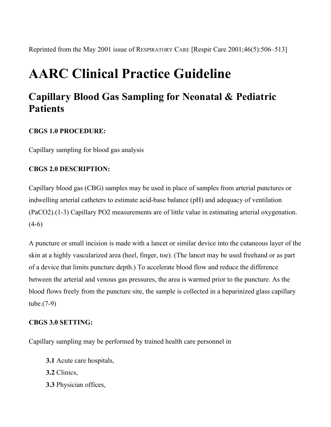Reprinted from the May 2001 issue of RESPIRATORY CARE [Respir Care 2001;46(5):506–513]

# **AARC Clinical Practice Guideline**

# **Capillary Blood Gas Sampling for Neonatal & Pediatric Patients**

# **CBGS 1.0 PROCEDURE:**

Capillary sampling for blood gas analysis

# **CBGS 2.0 DESCRIPTION:**

Capillary blood gas (CBG) samples may be used in place of samples from arterial punctures or indwelling arterial catheters to estimate acid-base balance (pH) and adequacy of ventilation (PaCO2).(1-3) Capillary PO2 measurements are of little value in estimating arterial oxygenation.  $(4-6)$ 

A puncture or small incision is made with a lancet or similar device into the cutaneous layer of the skin at a highly vascularized area (heel, finger, toe). (The lancet may be used freehand or as part of a device that limits puncture depth.) To accelerate blood flow and reduce the difference between the arterial and venous gas pressures, the area is warmed prior to the puncture. As the blood flows freely from the puncture site, the sample is collected in a heparinized glass capillary tube.(7-9)

# **CBGS 3.0 SETTING:**

Capillary sampling may be performed by trained health care personnel in

- **3.1** Acute care hospitals,
- **3.2** Clinics,
- **3.3** Physician offices,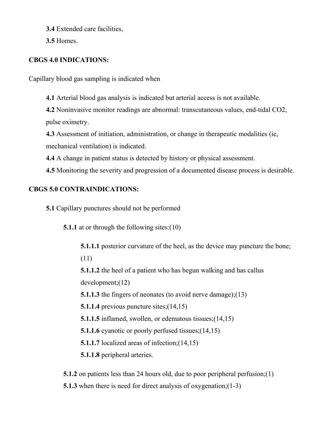**3.4** Extended care facilities,

**3.5** Homes.

# **CBGS 4.0 INDICATIONS:**

Capillary blood gas sampling is indicated when

**4.1** Arterial blood gas analysis is indicated but arterial access is not available.

**4.2** Noninvasive monitor readings are abnormal: transcutaneous values, end-tidal CO2, pulse oximetry.

**4.3** Assessment of initiation, administration, or change in therapeutic modalities (ie, mechanical ventilation) is indicated.

**4.4** A change in patient status is detected by history or physical assessment.

**4.5** Monitoring the severity and progression of a documented disease process is desirable.

# **CBGS 5.0 CONTRAINDICATIONS:**

**5.1** Capillary punctures should not be performed

**5.1.1** at or through the following sites:(10)

**5.1.1.1** posterior curvature of the heel, as the device may puncture the bone;

(11)

**5.1.1.2** the heel of a patient who has begun walking and has callus development;(12)

**5.1.1.3** the fingers of neonates (to avoid nerve damage);(13)

**5.1.1.4** previous puncture sites;(14,15)

**5.1.1.5** inflamed, swollen, or edematous tissues; (14,15)

**5.1.1.6** cyanotic or poorly perfused tissues; (14,15)

**5.1.1.7** localized areas of infection; (14,15)

**5.1.1.8** peripheral arteries.

**5.1.2** on patients less than 24 hours old, due to poor peripheral perfusion;(1)

**5.1.3** when there is need for direct analysis of oxygenation; (1-3)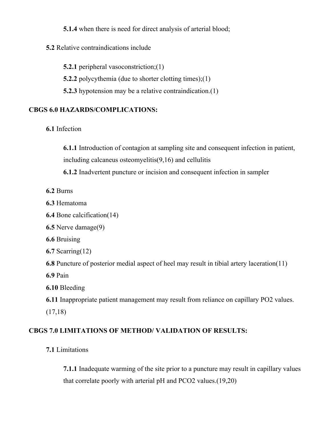**5.1.4** when there is need for direct analysis of arterial blood;

#### **5.2** Relative contraindications include

**5.2.1** peripheral vasoconstriction; (1)

**5.2.2** polycythemia (due to shorter clotting times);(1)

**5.2.3** hypotension may be a relative contraindication.(1)

# **CBGS 6.0 HAZARDS/COMPLICATIONS:**

# **6.1** Infection

**6.1.1** Introduction of contagion at sampling site and consequent infection in patient, including calcaneus osteomyelitis(9,16) and cellulitis

**6.1.2** Inadvertent puncture or incision and consequent infection in sampler

- **6.2** Burns
- **6.3** Hematoma

**6.4** Bone calcification(14)

**6.5** Nerve damage(9)

**6.6** Bruising

**6.7** Scarring(12)

**6.8** Puncture of posterior medial aspect of heel may result in tibial artery laceration(11)

**6.9** Pain

**6.10** Bleeding

**6.11** Inappropriate patient management may result from reliance on capillary PO2 values. (17,18)

# **CBGS 7.0 LIMITATIONS OF METHOD/ VALIDATION OF RESULTS:**

**7.1** Limitations

**7.1.1** Inadequate warming of the site prior to a puncture may result in capillary values that correlate poorly with arterial pH and PCO2 values.(19,20)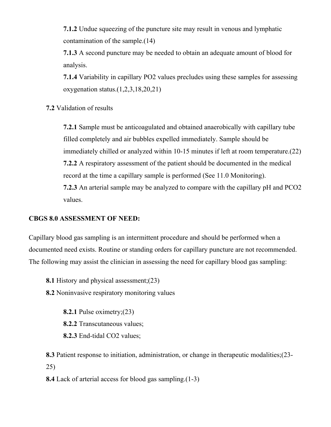**7.1.2** Undue squeezing of the puncture site may result in venous and lymphatic contamination of the sample.(14)

**7.1.3** A second puncture may be needed to obtain an adequate amount of blood for analysis.

**7.1.4** Variability in capillary PO2 values precludes using these samples for assessing oxygenation status.(1,2,3,18,20,21)

**7.2** Validation of results

**7.2.1** Sample must be anticoagulated and obtained anaerobically with capillary tube filled completely and air bubbles expelled immediately. Sample should be immediately chilled or analyzed within 10-15 minutes if left at room temperature.(22) **7.2.2** A respiratory assessment of the patient should be documented in the medical record at the time a capillary sample is performed (See 11.0 Monitoring). **7.2.3** An arterial sample may be analyzed to compare with the capillary pH and PCO2 values.

# **CBGS 8.0 ASSESSMENT OF NEED:**

Capillary blood gas sampling is an intermittent procedure and should be performed when a documented need exists. Routine or standing orders for capillary puncture are not recommended. The following may assist the clinician in assessing the need for capillary blood gas sampling:

**8.1** History and physical assessment;(23)

**8.2** Noninvasive respiratory monitoring values

**8.2.1** Pulse oximetry;(23) **8.2.2** Transcutaneous values; **8.2.3** End-tidal CO2 values;

**8.3** Patient response to initiation, administration, or change in therapeutic modalities;(23- 25)

**8.4** Lack of arterial access for blood gas sampling.(1-3)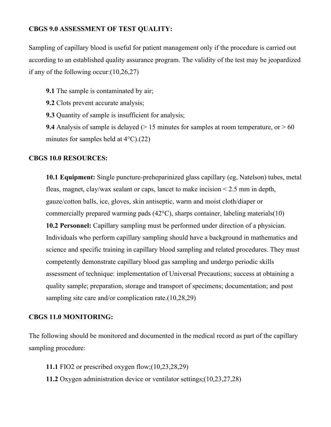# **CBGS 9.0 ASSESSMENT OF TEST QUALITY:**

Sampling of capillary blood is useful for patient management only if the procedure is carried out according to an established quality assurance program. The validity of the test may be jeopardized if any of the following occur:(10,26,27)

**9.1** The sample is contaminated by air;

**9.2** Clots prevent accurate analysis;

**9.3** Quantity of sample is insufficient for analysis;

**9.4** Analysis of sample is delayed ( $> 15$  minutes for samples at room temperature, or  $> 60$ minutes for samples held at  $4^{\circ}$ C).(22)

#### **CBGS 10.0 RESOURCES:**

**10.1 Equipment:** Single puncture-preheparinized glass capillary (eg, Natelson) tubes, metal fleas, magnet, clay/wax sealant or caps, lancet to make incision < 2.5 mm in depth, gauze/cotton balls, ice, gloves, skin antiseptic, warm and moist cloth/diaper or commercially prepared warming pads (42°C), sharps container, labeling materials(10) **10.2 Personnel:** Capillary sampling must be performed under direction of a physician. Individuals who perform capillary sampling should have a background in mathematics and science and specific training in capillary blood sampling and related procedures. They must competently demonstrate capillary blood gas sampling and undergo periodic skills assessment of technique: implementation of Universal Precautions; success at obtaining a quality sample; preparation, storage and transport of specimens; documentation; and post sampling site care and/or complication rate.(10,28,29)

#### **CBGS 11.0 MONITORING:**

The following should be monitored and documented in the medical record as part of the capillary sampling procedure:

**11.1** FIO2 or prescribed oxygen flow;(10,23,28,29)

**11.2** Oxygen administration device or ventilator settings;(10,23,27,28)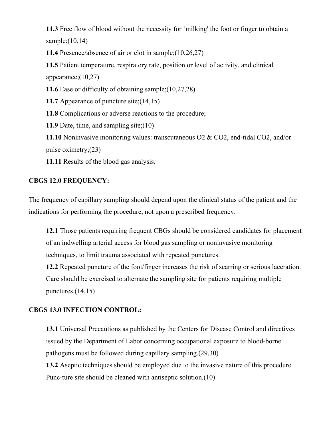**11.3** Free flow of blood without the necessity for `milking' the foot or finger to obtain a sample;(10,14)

**11.4** Presence/absence of air or clot in sample;(10,26,27)

**11.5** Patient temperature, respiratory rate, position or level of activity, and clinical appearance;(10,27)

**11.6** Ease or difficulty of obtaining sample;(10,27,28)

**11.7** Appearance of puncture site;(14,15)

**11.8** Complications or adverse reactions to the procedure;

**11.9** Date, time, and sampling site;(10)

**11.10** Noninvasive monitoring values: transcutaneous O2 & CO2, end-tidal CO2, and/or pulse oximetry;(23)

**11.11** Results of the blood gas analysis.

# **CBGS 12.0 FREQUENCY:**

The frequency of capillary sampling should depend upon the clinical status of the patient and the indications for performing the procedure, not upon a prescribed frequency.

**12.1** Those patients requiring frequent CBGs should be considered candidates for placement of an indwelling arterial access for blood gas sampling or noninvasive monitoring techniques, to limit trauma associated with repeated punctures.

**12.2** Repeated puncture of the foot/finger increases the risk of scarring or serious laceration. Care should be exercised to alternate the sampling site for patients requiring multiple punctures.(14,15)

# **CBGS 13.0 INFECTION CONTROL:**

**13.1** Universal Precautions as published by the Centers for Disease Control and directives issued by the Department of Labor concerning occupational exposure to blood-borne pathogens must be followed during capillary sampling.(29,30)

**13.2** Aseptic techniques should be employed due to the invasive nature of this procedure. Punc-ture site should be cleaned with antiseptic solution.(10)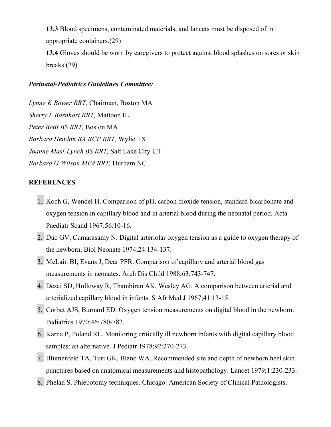**13.3** Blood specimens, contaminated materials, and lancets must be disposed of in appropriate containers.(29)

**13.4** Gloves should be worn by caregivers to protect against blood splashes on sores or skin breaks.(29)

#### *Perinatal-Pediatrics Guidelines Committee:*

*Lynne K Bower RRT,* Chairman, Boston MA *Sherry L Barnhart RRT,* Mattoon IL *Peter Betit BS RRT,* Boston MA *Barbara Hendon BA RCP RRT,* Wylie TX *Joanne Masi-Lynch BS RRT,* Salt Lake City UT *Barbara G Wilson MEd RRT,* Durham NC

#### **REFERENCES**

- 1. Koch G, Wendel H. Comparison of pH, carbon dioxide tension, standard bicarbonate and oxygen tension in capillary blood and in arterial blood during the neonatal period. Acta Paediatr Scand 1967;56:10-16.
- 2. Duc GV, Cumarasamy N. Digital arteriolar oxygen tension as a guide to oxygen therapy of the newborn. Biol Neonate 1974;24:134-137.
- 3. McLain BI, Evans J, Dear PFR. Comparison of capillary and arterial blood gas measurements in neonates. Arch Dis Child 1988;63:743-747.
- 4. Desai SD, Holloway R, Thambiran AK, Wesley AG. A comparison between arterial and arterialized capillary blood in infants. S Afr Med J 1967;41:13-15.
- 5. Corbet AJS, Burnard ED. Oxygen tension measurements on digital blood in the newborn. Pediatrics 1970;46:780-782.
- 6. Karna P, Poland RL. Monitoring critically ill newborn infants with digital capillary blood samples: an alternative. J Pediatr 1978;92:270-273.
- 7. Blumenfeld TA, Turi GK, Blanc WA. Recommended site and depth of newborn heel skin punctures based on anatomical measurements and histopathology. Lancet 1979;1:230-233.
- 8. Phelan S. Phlebotomy techniques. Chicago: American Society of Clinical Pathologists,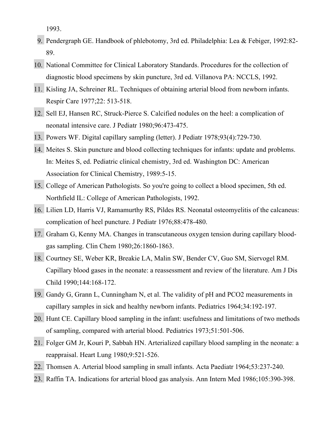1993.

- 9. Pendergraph GE. Handbook of phlebotomy, 3rd ed. Philadelphia: Lea & Febiger, 1992:82- 89.
- 10. National Committee for Clinical Laboratory Standards. Procedures for the collection of diagnostic blood specimens by skin puncture, 3rd ed. Villanova PA: NCCLS, 1992.
- 11. Kisling JA, Schreiner RL. Techniques of obtaining arterial blood from newborn infants. Respir Care 1977;22: 513-518.
- 12. Sell EJ, Hansen RC, Struck-Pierce S. Calcified nodules on the heel: a complication of neonatal intensive care. J Pediatr 1980;96:473-475.
- 13. Powers WF. Digital capillary sampling (letter). J Pediatr 1978;93(4):729-730.
- 14. Meites S. Skin puncture and blood collecting techniques for infants: update and problems. In: Meites S, ed. Pediatric clinical chemistry, 3rd ed. Washington DC: American Association for Clinical Chemistry, 1989:5-15.
- 15. College of American Pathologists. So you're going to collect a blood specimen, 5th ed. Northfield IL: College of American Pathologists, 1992.
- 16. Lilien LD, Harris VJ, Ramamurthy RS, Pildes RS. Neonatal osteomyelitis of the calcaneus: complication of heel puncture. J Pediatr 1976;88:478-480.
- 17. Graham G, Kenny MA. Changes in transcutaneous oxygen tension during capillary bloodgas sampling. Clin Chem 1980;26:1860-1863.
- 18. Courtney SE, Weber KR, Breakie LA, Malin SW, Bender CV, Guo SM, Siervogel RM. Capillary blood gases in the neonate: a reassessment and review of the literature. Am J Dis Child 1990;144:168-172.
- 19. Gandy G, Grann L, Cunningham N, et al. The validity of pH and PCO2 measurements in capillary samples in sick and healthy newborn infants. Pediatrics 1964;34:192-197.
- 20. Hunt CE. Capillary blood sampling in the infant: usefulness and limitations of two methods of sampling, compared with arterial blood. Pediatrics 1973;51:501-506.
- 21. Folger GM Jr, Kouri P, Sabbah HN. Arterialized capillary blood sampling in the neonate: a reappraisal. Heart Lung 1980;9:521-526.
- 22. Thomsen A. Arterial blood sampling in small infants. Acta Paediatr 1964;53:237-240.
- 23. Raffin TA. Indications for arterial blood gas analysis. Ann Intern Med 1986;105:390-398.